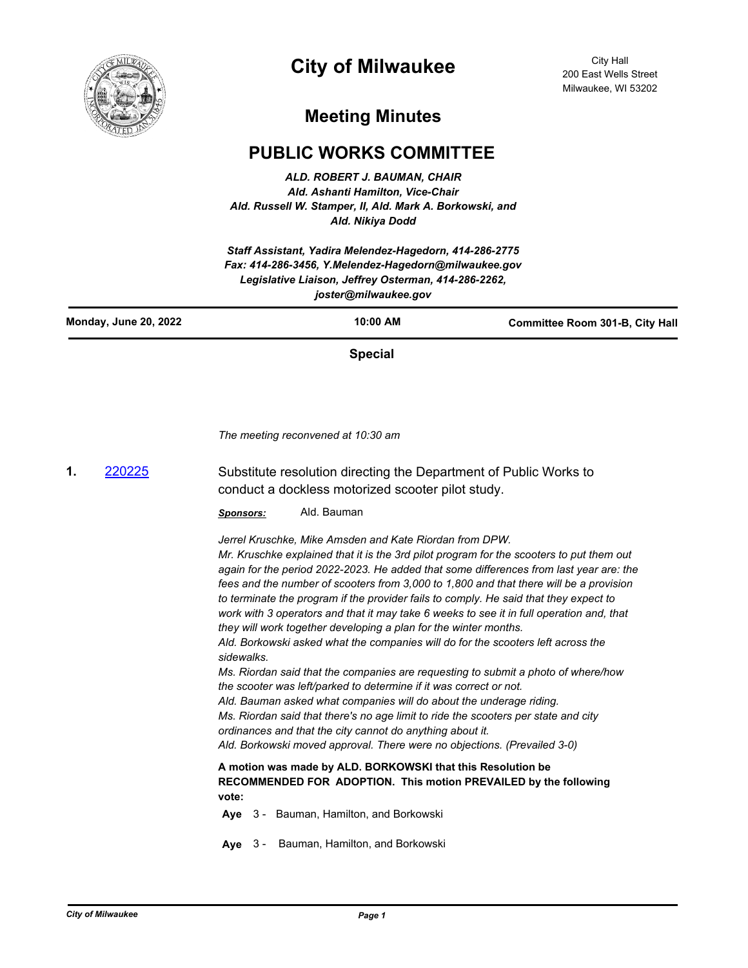

## **City of Milwaukee**

City Hall 200 East Wells Street Milwaukee, WI 53202

## **Meeting Minutes**

## **PUBLIC WORKS COMMITTEE**

*ALD. ROBERT J. BAUMAN, CHAIR Ald. Ashanti Hamilton, Vice-Chair Ald. Russell W. Stamper, II, Ald. Mark A. Borkowski, and Ald. Nikiya Dodd*

*Staff Assistant, Yadira Melendez-Hagedorn, 414-286-2775 Fax: 414-286-3456, Y.Melendez-Hagedorn@milwaukee.gov Legislative Liaison, Jeffrey Osterman, 414-286-2262, joster@milwaukee.gov*

**Special**

*The meeting reconvened at 10:30 am*

**1.** [220225](http://milwaukee.legistar.com/gateway.aspx?m=l&id=/matter.aspx?key=62353) Substitute resolution directing the Department of Public Works to conduct a dockless motorized scooter pilot study.

*Sponsors:* Ald. Bauman

*Jerrel Kruschke, Mike Amsden and Kate Riordan from DPW.*

*Mr. Kruschke explained that it is the 3rd pilot program for the scooters to put them out again for the period 2022-2023. He added that some differences from last year are: the fees and the number of scooters from 3,000 to 1,800 and that there will be a provision to terminate the program if the provider fails to comply. He said that they expect to work with 3 operators and that it may take 6 weeks to see it in full operation and, that they will work together developing a plan for the winter months. Ald. Borkowski asked what the companies will do for the scooters left across the sidewalks.*

*Ms. Riordan said that the companies are requesting to submit a photo of where/how the scooter was left/parked to determine if it was correct or not. Ald. Bauman asked what companies will do about the underage riding.*

*Ms. Riordan said that there's no age limit to ride the scooters per state and city ordinances and that the city cannot do anything about it.*

*Ald. Borkowski moved approval. There were no objections. (Prevailed 3-0)*

## **A motion was made by ALD. BORKOWSKI that this Resolution be RECOMMENDED FOR ADOPTION. This motion PREVAILED by the following vote:**

- **Aye** 3 Bauman, Hamilton, and Borkowski
- **Aye** 3 Bauman, Hamilton, and Borkowski